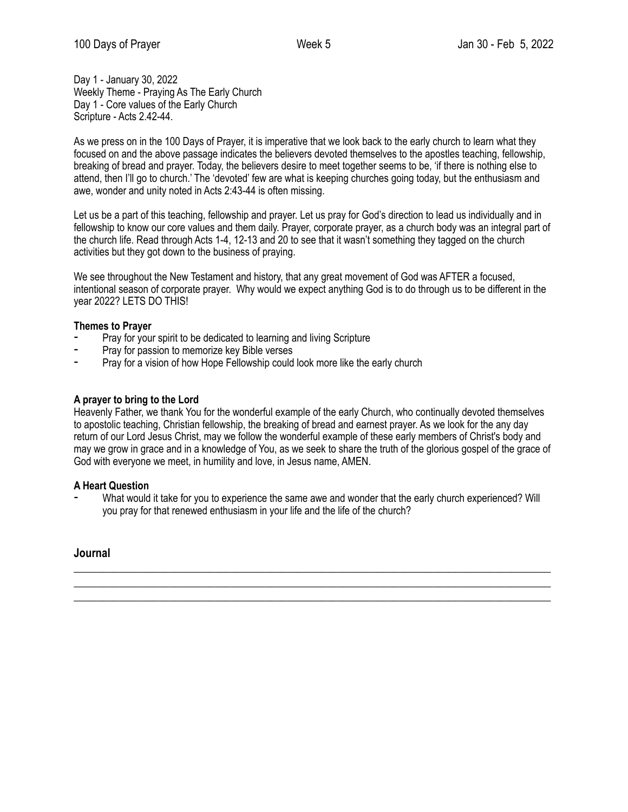Day 1 - January 30, 2022 Weekly Theme - Praying As The Early Church Day 1 - Core values of the Early Church Scripture - Acts 2.42-44.

As we press on in the 100 Days of Prayer, it is imperative that we look back to the early church to learn what they focused on and the above passage indicates the believers devoted themselves to the apostles teaching, fellowship, breaking of bread and prayer. Today, the believers desire to meet together seems to be, 'if there is nothing else to attend, then I'll go to church.' The 'devoted' few are what is keeping churches going today, but the enthusiasm and awe, wonder and unity noted in Acts 2:43-44 is often missing.

Let us be a part of this teaching, fellowship and prayer. Let us pray for God's direction to lead us individually and in fellowship to know our core values and them daily. Prayer, corporate prayer, as a church body was an integral part of the church life. Read through Acts 1-4, 12-13 and 20 to see that it wasn't something they tagged on the church activities but they got down to the business of praying.

We see throughout the New Testament and history, that any great movement of God was AFTER a focused, intentional season of corporate prayer. Why would we expect anything God is to do through us to be different in the year 2022? LETS DO THIS!

## **Themes to Prayer**

- Pray for your spirit to be dedicated to learning and living Scripture
- Pray for passion to memorize key Bible verses
- Pray for a vision of how Hope Fellowship could look more like the early church

## **A prayer to bring to the Lord**

Heavenly Father, we thank You for the wonderful example of the early Church, who continually devoted themselves to apostolic teaching, Christian fellowship, the breaking of bread and earnest prayer. As we look for the any day return of our Lord Jesus Christ, may we follow the wonderful example of these early members of Christ's body and may we grow in grace and in a knowledge of You, as we seek to share the truth of the glorious gospel of the grace of God with everyone we meet, in humility and love, in Jesus name, AMEN.

#### **A Heart Question**

What would it take for you to experience the same awe and wonder that the early church experienced? Will you pray for that renewed enthusiasm in your life and the life of the church?

 $\_$  , and the set of the set of the set of the set of the set of the set of the set of the set of the set of the set of the set of the set of the set of the set of the set of the set of the set of the set of the set of th  $\_$  , and the set of the set of the set of the set of the set of the set of the set of the set of the set of the set of the set of the set of the set of the set of the set of the set of the set of the set of the set of th \_\_\_\_\_\_\_\_\_\_\_\_\_\_\_\_\_\_\_\_\_\_\_\_\_\_\_\_\_\_\_\_\_\_\_\_\_\_\_\_\_\_\_\_\_\_\_\_\_\_\_\_\_\_\_\_\_\_\_\_\_\_\_\_\_\_\_\_\_\_\_\_\_\_\_\_\_\_\_\_\_\_\_\_\_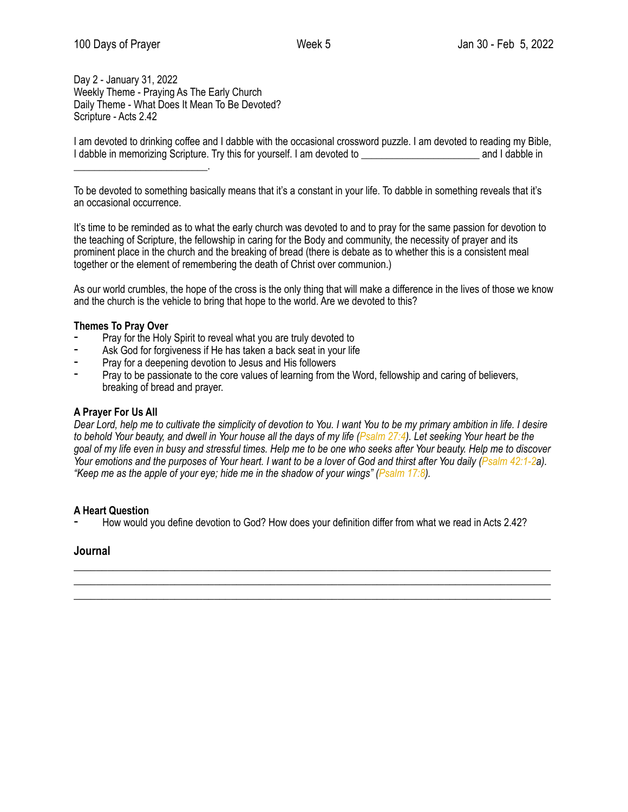Day 2 - January 31, 2022 Weekly Theme - Praying As The Early Church Daily Theme - What Does It Mean To Be Devoted? Scripture - Acts 2.42

\_\_\_\_\_\_\_\_\_\_\_\_\_\_\_\_\_\_\_\_\_\_\_\_\_\_.

I am devoted to drinking coffee and I dabble with the occasional crossword puzzle. I am devoted to reading my Bible, I dabble in memorizing Scripture. Try this for yourself. I am devoted to **which in the same in the same in the same i** and I dabble in

To be devoted to something basically means that it's a constant in your life. To dabble in something reveals that it's an occasional occurrence.

It's time to be reminded as to what the early church was devoted to and to pray for the same passion for devotion to the teaching of Scripture, the fellowship in caring for the Body and community, the necessity of prayer and its prominent place in the church and the breaking of bread (there is debate as to whether this is a consistent meal together or the element of remembering the death of Christ over communion.)

As our world crumbles, the hope of the cross is the only thing that will make a difference in the lives of those we know and the church is the vehicle to bring that hope to the world. Are we devoted to this?

# **Themes To Pray Over**

- Pray for the Holy Spirit to reveal what you are truly devoted to
- Ask God for forgiveness if He has taken a back seat in your life
- Pray for a deepening devotion to Jesus and His followers
- Pray to be passionate to the core values of learning from the Word, fellowship and caring of believers, breaking of bread and prayer.

# **A Prayer For Us All**

*Dear Lord, help me to cultivate the simplicity of devotion to You. I want You to be my primary ambition in life. I desire to behold Your beauty, and dwell in Your house all the days of my life ([Psalm 27:4\)](http://www.biblestudytools.com/search/?t=niv&q=ps+27:4). Let seeking Your heart be the goal of my life even in busy and stressful times. Help me to be one who seeks after Your beauty. Help me to discover Your emotions and the purposes of Your heart. I want to be a lover of God and thirst after You daily ([Psalm 42:1-2a](http://www.biblestudytools.com/search/?t=niv&q=ps+42:1-2)). "Keep me as the apple of your eye; hide me in the shadow of your wings" [\(Psalm 17:8](http://www.biblestudytools.com/search/?t=niv&q=ps+17:8)).* 

#### **A Heart Question**

How would you define devotion to God? How does your definition differ from what we read in Acts 2.42?

\_\_\_\_\_\_\_\_\_\_\_\_\_\_\_\_\_\_\_\_\_\_\_\_\_\_\_\_\_\_\_\_\_\_\_\_\_\_\_\_\_\_\_\_\_\_\_\_\_\_\_\_\_\_\_\_\_\_\_\_\_\_\_\_\_\_\_\_\_\_\_\_\_\_\_\_\_\_\_\_\_\_\_\_\_  $\_$  , and the set of the set of the set of the set of the set of the set of the set of the set of the set of the set of the set of the set of the set of the set of the set of the set of the set of the set of the set of th \_\_\_\_\_\_\_\_\_\_\_\_\_\_\_\_\_\_\_\_\_\_\_\_\_\_\_\_\_\_\_\_\_\_\_\_\_\_\_\_\_\_\_\_\_\_\_\_\_\_\_\_\_\_\_\_\_\_\_\_\_\_\_\_\_\_\_\_\_\_\_\_\_\_\_\_\_\_\_\_\_\_\_\_\_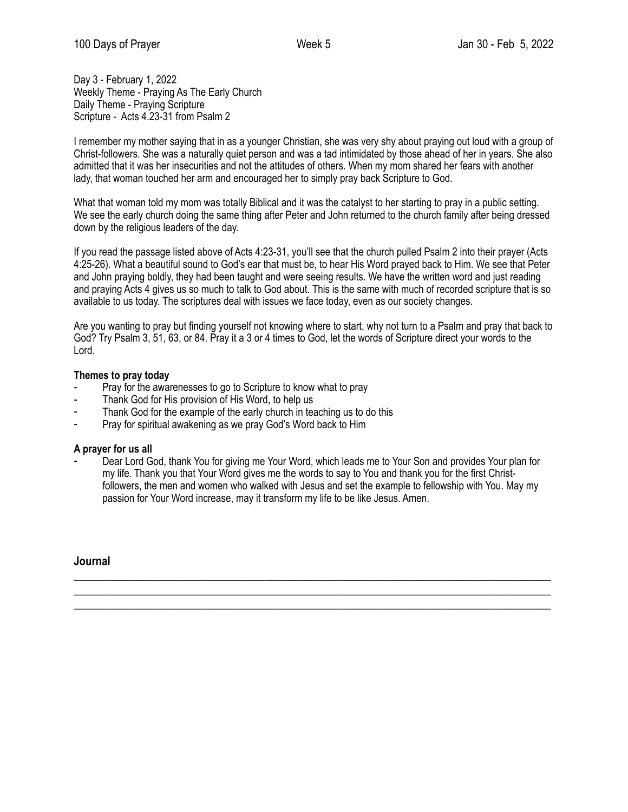Day 3 - February 1, 2022 Weekly Theme - Praying As The Early Church Daily Theme - Praying Scripture Scripture - Acts 4.23-31 from Psalm 2

I remember my mother saying that in as a younger Christian, she was very shy about praying out loud with a group of Christ-followers. She was a naturally quiet person and was a tad intimidated by those ahead of her in years. She also admitted that it was her insecurities and not the attitudes of others. When my mom shared her fears with another lady, that woman touched her arm and encouraged her to simply pray back Scripture to God.

What that woman told my mom was totally Biblical and it was the catalyst to her starting to pray in a public setting. We see the early church doing the same thing after Peter and John returned to the church family after being dressed down by the religious leaders of the day.

If you read the passage listed above of Acts 4:23-31, you'll see that the church pulled Psalm 2 into their prayer (Acts 4:25-26). What a beautiful sound to God's ear that must be, to hear His Word prayed back to Him. We see that Peter and John praying boldly, they had been taught and were seeing results. We have the written word and just reading and praying Acts 4 gives us so much to talk to God about. This is the same with much of recorded scripture that is so available to us today. The scriptures deal with issues we face today, even as our society changes.

Are you wanting to pray but finding yourself not knowing where to start, why not turn to a Psalm and pray that back to God? Try Psalm 3, 51, 63, or 84. Pray it a 3 or 4 times to God, let the words of Scripture direct your words to the Lord.

# **Themes to pray today**

- Pray for the awarenesses to go to Scripture to know what to pray
- Thank God for His provision of His Word, to help us
- Thank God for the example of the early church in teaching us to do this
- Pray for spiritual awakening as we pray God's Word back to Him

# **A prayer for us all**

Dear Lord God, thank You for giving me Your Word, which leads me to Your Son and provides Your plan for my life. Thank you that Your Word gives me the words to say to You and thank you for the first Christfollowers, the men and women who walked with Jesus and set the example to fellowship with You. May my passion for Your Word increase, may it transform my life to be like Jesus. Amen.

 $\_$  , and the set of the set of the set of the set of the set of the set of the set of the set of the set of the set of the set of the set of the set of the set of the set of the set of the set of the set of the set of th \_\_\_\_\_\_\_\_\_\_\_\_\_\_\_\_\_\_\_\_\_\_\_\_\_\_\_\_\_\_\_\_\_\_\_\_\_\_\_\_\_\_\_\_\_\_\_\_\_\_\_\_\_\_\_\_\_\_\_\_\_\_\_\_\_\_\_\_\_\_\_\_\_\_\_\_\_\_\_\_\_\_\_\_\_ \_\_\_\_\_\_\_\_\_\_\_\_\_\_\_\_\_\_\_\_\_\_\_\_\_\_\_\_\_\_\_\_\_\_\_\_\_\_\_\_\_\_\_\_\_\_\_\_\_\_\_\_\_\_\_\_\_\_\_\_\_\_\_\_\_\_\_\_\_\_\_\_\_\_\_\_\_\_\_\_\_\_\_\_\_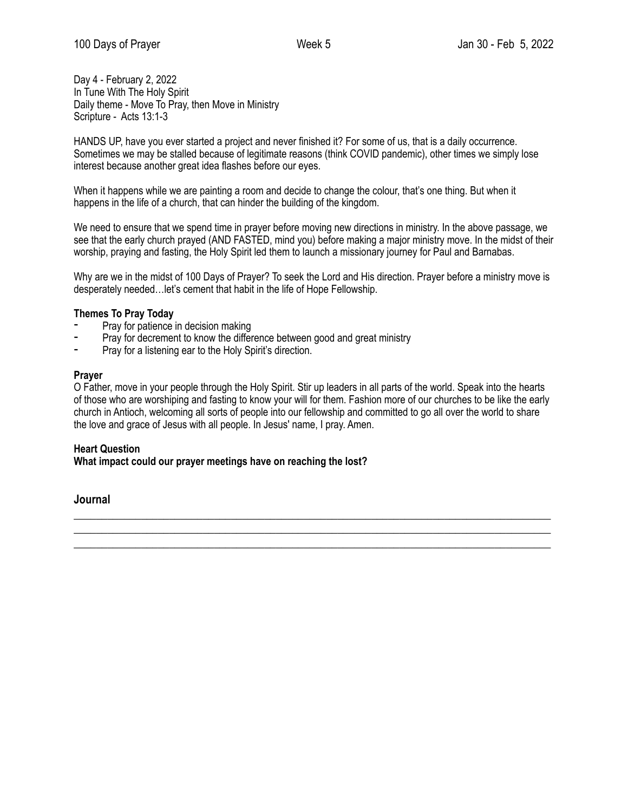Day 4 - February 2, 2022 In Tune With The Holy Spirit Daily theme - Move To Pray, then Move in Ministry Scripture - Acts 13:1-3

HANDS UP, have you ever started a project and never finished it? For some of us, that is a daily occurrence. Sometimes we may be stalled because of legitimate reasons (think COVID pandemic), other times we simply lose interest because another great idea flashes before our eyes.

When it happens while we are painting a room and decide to change the colour, that's one thing. But when it happens in the life of a church, that can hinder the building of the kingdom.

We need to ensure that we spend time in prayer before moving new directions in ministry. In the above passage, we see that the early church prayed (AND FASTED, mind you) before making a major ministry move. In the midst of their worship, praying and fasting, the Holy Spirit led them to launch a missionary journey for Paul and Barnabas.

Why are we in the midst of 100 Days of Prayer? To seek the Lord and His direction. Prayer before a ministry move is desperately needed…let's cement that habit in the life of Hope Fellowship.

## **Themes To Pray Today**

- Pray for patience in decision making
- Pray for decrement to know the difference between good and great ministry
- Pray for a listening ear to the Holy Spirit's direction.

#### **Prayer**

O Father, move in your people through the Holy Spirit. Stir up leaders in all parts of the world. Speak into the hearts of those who are worshiping and fasting to know your will for them. Fashion more of our churches to be like the early church in Antioch, welcoming all sorts of people into our fellowship and committed to go all over the world to share the love and grace of Jesus with all people. In Jesus' name, I pray. Amen.

 $\_$  , and the set of the set of the set of the set of the set of the set of the set of the set of the set of the set of the set of the set of the set of the set of the set of the set of the set of the set of the set of th \_\_\_\_\_\_\_\_\_\_\_\_\_\_\_\_\_\_\_\_\_\_\_\_\_\_\_\_\_\_\_\_\_\_\_\_\_\_\_\_\_\_\_\_\_\_\_\_\_\_\_\_\_\_\_\_\_\_\_\_\_\_\_\_\_\_\_\_\_\_\_\_\_\_\_\_\_\_\_\_\_\_\_\_\_ \_\_\_\_\_\_\_\_\_\_\_\_\_\_\_\_\_\_\_\_\_\_\_\_\_\_\_\_\_\_\_\_\_\_\_\_\_\_\_\_\_\_\_\_\_\_\_\_\_\_\_\_\_\_\_\_\_\_\_\_\_\_\_\_\_\_\_\_\_\_\_\_\_\_\_\_\_\_\_\_\_\_\_\_\_

#### **Heart Question What impact could our prayer meetings have on reaching the lost?**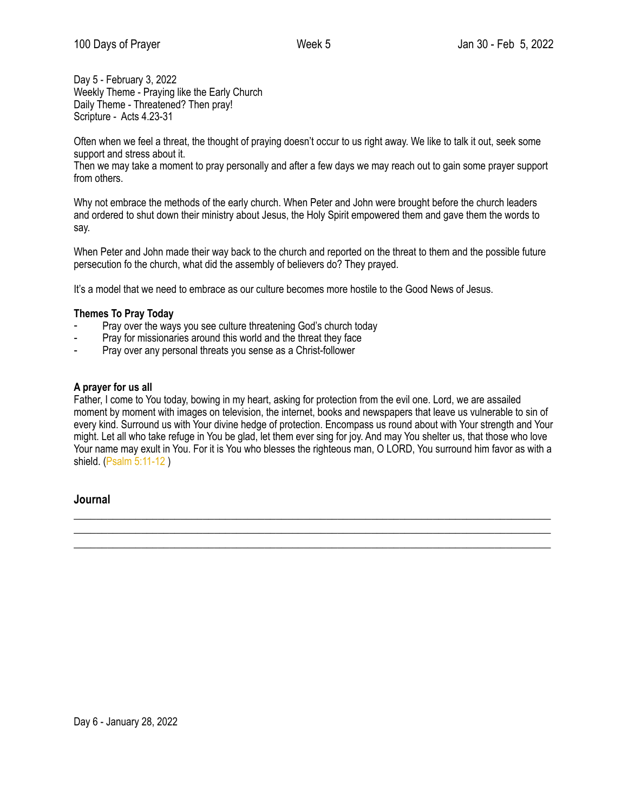Day 5 - February 3, 2022 Weekly Theme - Praying like the Early Church Daily Theme - Threatened? Then pray! Scripture - Acts 4.23-31

Often when we feel a threat, the thought of praying doesn't occur to us right away. We like to talk it out, seek some support and stress about it.

Then we may take a moment to pray personally and after a few days we may reach out to gain some prayer support from others.

Why not embrace the methods of the early church. When Peter and John were brought before the church leaders and ordered to shut down their ministry about Jesus, the Holy Spirit empowered them and gave them the words to say.

When Peter and John made their way back to the church and reported on the threat to them and the possible future persecution fo the church, what did the assembly of believers do? They prayed.

It's a model that we need to embrace as our culture becomes more hostile to the Good News of Jesus.

# **Themes To Pray Today**

- Pray over the ways you see culture threatening God's church today
- Pray for missionaries around this world and the threat they face
- Pray over any personal threats you sense as a Christ-follower

## **A prayer for us all**

Father, I come to You today, bowing in my heart, asking for protection from the evil one. Lord, we are assailed moment by moment with images on television, the internet, books and newspapers that leave us vulnerable to sin of every kind. Surround us with Your divine hedge of protection. Encompass us round about with Your strength and Your might. Let all who take refuge in You be glad, let them ever sing for joy. And may You shelter us, that those who love Your name may exult in You. For it is You who blesses the righteous man, O LORD, You surround him favor as with a shield. ([Psalm 5:11-12](https://www.biblestudytools.com/passage/?q=psalm+5:11-12) )

 $\_$  , and the set of the set of the set of the set of the set of the set of the set of the set of the set of the set of the set of the set of the set of the set of the set of the set of the set of the set of the set of th \_\_\_\_\_\_\_\_\_\_\_\_\_\_\_\_\_\_\_\_\_\_\_\_\_\_\_\_\_\_\_\_\_\_\_\_\_\_\_\_\_\_\_\_\_\_\_\_\_\_\_\_\_\_\_\_\_\_\_\_\_\_\_\_\_\_\_\_\_\_\_\_\_\_\_\_\_\_\_\_\_\_\_\_\_ \_\_\_\_\_\_\_\_\_\_\_\_\_\_\_\_\_\_\_\_\_\_\_\_\_\_\_\_\_\_\_\_\_\_\_\_\_\_\_\_\_\_\_\_\_\_\_\_\_\_\_\_\_\_\_\_\_\_\_\_\_\_\_\_\_\_\_\_\_\_\_\_\_\_\_\_\_\_\_\_\_\_\_\_\_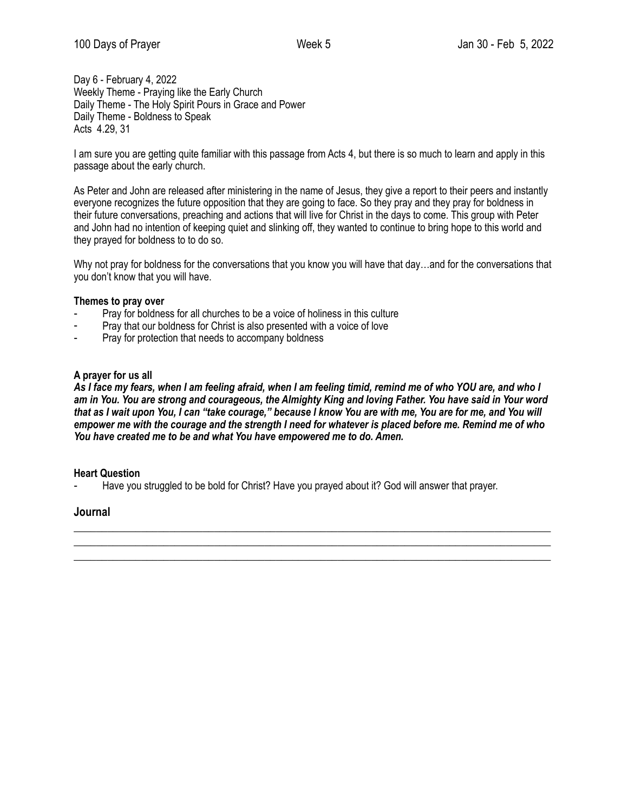Day 6 - February 4, 2022 Weekly Theme - Praying like the Early Church Daily Theme - The Holy Spirit Pours in Grace and Power Daily Theme - Boldness to Speak Acts 4.29, 31

I am sure you are getting quite familiar with this passage from Acts 4, but there is so much to learn and apply in this passage about the early church.

As Peter and John are released after ministering in the name of Jesus, they give a report to their peers and instantly everyone recognizes the future opposition that they are going to face. So they pray and they pray for boldness in their future conversations, preaching and actions that will live for Christ in the days to come. This group with Peter and John had no intention of keeping quiet and slinking off, they wanted to continue to bring hope to this world and they prayed for boldness to to do so.

Why not pray for boldness for the conversations that you know you will have that day...and for the conversations that you don't know that you will have.

#### **Themes to pray over**

- Pray for boldness for all churches to be a voice of holiness in this culture
- Pray that our boldness for Christ is also presented with a voice of love
- Pray for protection that needs to accompany boldness

#### **A prayer for us all**

*As I face my fears, when I am feeling afraid, when I am feeling timid, remind me of who YOU are, and who I am in You. You are strong and courageous, the Almighty King and loving Father. You have said in Your word that as I wait upon You, I can "take courage," because I know You are with me, You are for me, and You will empower me with the courage and the strength I need for whatever is placed before me. Remind me of who You have created me to be and what You have empowered me to do. Amen.* 

 $\_$  , and the set of the set of the set of the set of the set of the set of the set of the set of the set of the set of the set of the set of the set of the set of the set of the set of the set of the set of the set of th \_\_\_\_\_\_\_\_\_\_\_\_\_\_\_\_\_\_\_\_\_\_\_\_\_\_\_\_\_\_\_\_\_\_\_\_\_\_\_\_\_\_\_\_\_\_\_\_\_\_\_\_\_\_\_\_\_\_\_\_\_\_\_\_\_\_\_\_\_\_\_\_\_\_\_\_\_\_\_\_\_\_\_\_\_ \_\_\_\_\_\_\_\_\_\_\_\_\_\_\_\_\_\_\_\_\_\_\_\_\_\_\_\_\_\_\_\_\_\_\_\_\_\_\_\_\_\_\_\_\_\_\_\_\_\_\_\_\_\_\_\_\_\_\_\_\_\_\_\_\_\_\_\_\_\_\_\_\_\_\_\_\_\_\_\_\_\_\_\_\_

#### **Heart Question**

Have you struggled to be bold for Christ? Have you prayed about it? God will answer that prayer.